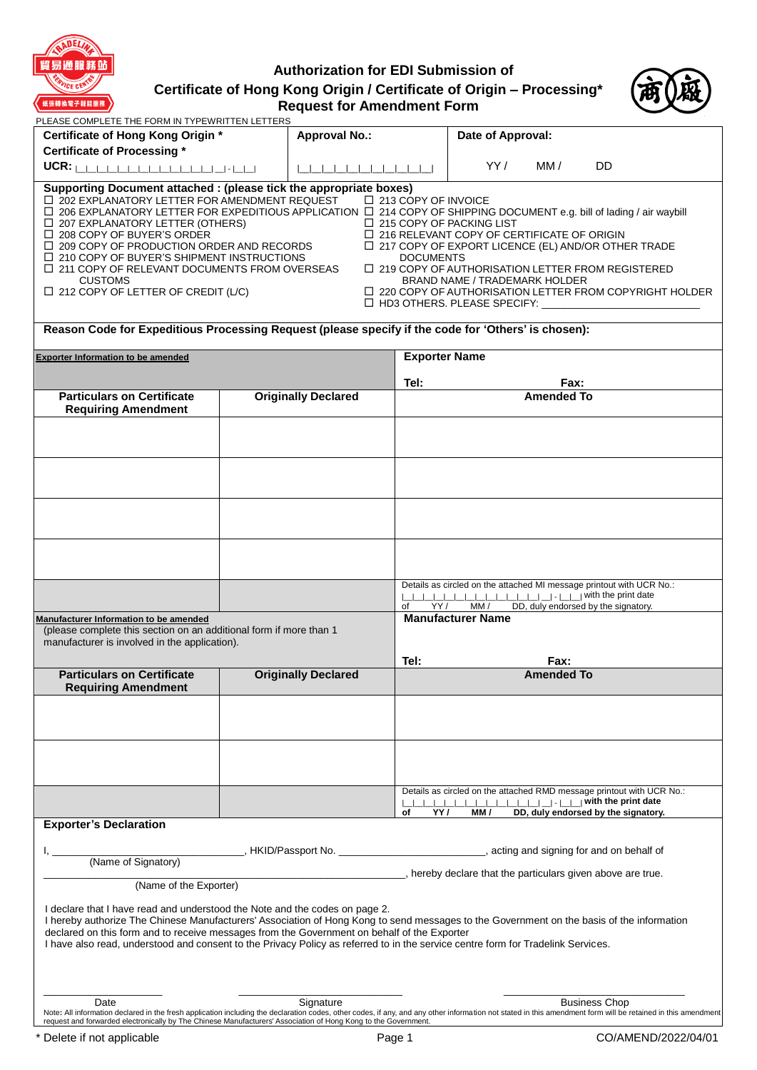

# **Authorization for EDI Submission of Certificate of Hong Kong Origin / Certificate of Origin – Processing\* Request for Amendment Form**



| PLEASE COMPLETE THE FORM IN TYPEWRITTEN LETTERS                                                                                                                                                                                                                                                                                                                                                                                                                                                                                                                                                                                                                                                                                                                                                                                                                                                                                                                                                                                                                                                                                                                  |  |                            |                      |                                               |                   |                                                                                                              |
|------------------------------------------------------------------------------------------------------------------------------------------------------------------------------------------------------------------------------------------------------------------------------------------------------------------------------------------------------------------------------------------------------------------------------------------------------------------------------------------------------------------------------------------------------------------------------------------------------------------------------------------------------------------------------------------------------------------------------------------------------------------------------------------------------------------------------------------------------------------------------------------------------------------------------------------------------------------------------------------------------------------------------------------------------------------------------------------------------------------------------------------------------------------|--|----------------------------|----------------------|-----------------------------------------------|-------------------|--------------------------------------------------------------------------------------------------------------|
| Certificate of Hong Kong Origin *                                                                                                                                                                                                                                                                                                                                                                                                                                                                                                                                                                                                                                                                                                                                                                                                                                                                                                                                                                                                                                                                                                                                |  | <b>Approval No.:</b>       |                      | Date of Approval:                             |                   |                                                                                                              |
| <b>Certificate of Processing *</b>                                                                                                                                                                                                                                                                                                                                                                                                                                                                                                                                                                                                                                                                                                                                                                                                                                                                                                                                                                                                                                                                                                                               |  |                            |                      |                                               |                   |                                                                                                              |
| UCR:                                                                                                                                                                                                                                                                                                                                                                                                                                                                                                                                                                                                                                                                                                                                                                                                                                                                                                                                                                                                                                                                                                                                                             |  |                            |                      | YY/                                           | MM /              | DD                                                                                                           |
| Supporting Document attached : (please tick the appropriate boxes)<br>$\Box$ 202 EXPLANATORY LETTER FOR AMENDMENT REQUEST<br>□ 213 COPY OF INVOICE<br>□ 206 EXPLANATORY LETTER FOR EXPEDITIOUS APPLICATION □ 214 COPY OF SHIPPING DOCUMENT e.g. bill of lading / air waybill<br>$\Box$ 207 EXPLANATORY LETTER (OTHERS)<br>$\Box$ 215 COPY OF PACKING LIST<br>$\Box$ 216 RELEVANT COPY OF CERTIFICATE OF ORIGIN<br>$\Box$ 208 COPY OF BUYER'S ORDER<br>$\Box$ 209 COPY OF PRODUCTION ORDER AND RECORDS<br>$\Box$ 217 COPY OF EXPORT LICENCE (EL) AND/OR OTHER TRADE<br>$\Box$ 210 COPY OF BUYER'S SHIPMENT INSTRUCTIONS<br><b>DOCUMENTS</b><br>$\Box$ 219 COPY OF AUTHORISATION LETTER FROM REGISTERED<br>$\Box$ 211 COPY OF RELEVANT DOCUMENTS FROM OVERSEAS<br><b>CUSTOMS</b><br><b>BRAND NAME / TRADEMARK HOLDER</b><br>$\Box$ 212 COPY OF LETTER OF CREDIT (L/C)<br>□ 220 COPY OF AUTHORISATION LETTER FROM COPYRIGHT HOLDER<br>□ HD3 OTHERS. PLEASE SPECIFY: △ △ 2020 ADDITIONAL ADDITIONAL ADDITIONAL ADDITIONAL ADDITIONAL ADDITIONAL ADDITIONAL ADDITIONAL ADDITIONAL ADDITIONAL ADDITIONAL ADDITIONAL ADDITIONAL ADDITIONAL ADDITIONAL ADDITIONAL ADDITI |  |                            |                      |                                               |                   |                                                                                                              |
| Reason Code for Expeditious Processing Request (please specify if the code for 'Others' is chosen):                                                                                                                                                                                                                                                                                                                                                                                                                                                                                                                                                                                                                                                                                                                                                                                                                                                                                                                                                                                                                                                              |  |                            |                      |                                               |                   |                                                                                                              |
| <b>Exporter Information to be amended</b>                                                                                                                                                                                                                                                                                                                                                                                                                                                                                                                                                                                                                                                                                                                                                                                                                                                                                                                                                                                                                                                                                                                        |  |                            | <b>Exporter Name</b> |                                               |                   |                                                                                                              |
|                                                                                                                                                                                                                                                                                                                                                                                                                                                                                                                                                                                                                                                                                                                                                                                                                                                                                                                                                                                                                                                                                                                                                                  |  |                            |                      |                                               |                   |                                                                                                              |
|                                                                                                                                                                                                                                                                                                                                                                                                                                                                                                                                                                                                                                                                                                                                                                                                                                                                                                                                                                                                                                                                                                                                                                  |  |                            | Tel:                 |                                               | Fax:              |                                                                                                              |
| <b>Particulars on Certificate</b><br><b>Requiring Amendment</b>                                                                                                                                                                                                                                                                                                                                                                                                                                                                                                                                                                                                                                                                                                                                                                                                                                                                                                                                                                                                                                                                                                  |  | <b>Originally Declared</b> |                      |                                               | <b>Amended To</b> |                                                                                                              |
|                                                                                                                                                                                                                                                                                                                                                                                                                                                                                                                                                                                                                                                                                                                                                                                                                                                                                                                                                                                                                                                                                                                                                                  |  |                            |                      |                                               |                   |                                                                                                              |
|                                                                                                                                                                                                                                                                                                                                                                                                                                                                                                                                                                                                                                                                                                                                                                                                                                                                                                                                                                                                                                                                                                                                                                  |  |                            |                      |                                               |                   |                                                                                                              |
|                                                                                                                                                                                                                                                                                                                                                                                                                                                                                                                                                                                                                                                                                                                                                                                                                                                                                                                                                                                                                                                                                                                                                                  |  |                            | of                   | YY / MM / DD, duly endorsed by the signatory. |                   | Details as circled on the attached MI message printout with UCR No.:                                         |
| Manufacturer Information to be amended<br>(please complete this section on an additional form if more than 1<br>manufacturer is involved in the application).                                                                                                                                                                                                                                                                                                                                                                                                                                                                                                                                                                                                                                                                                                                                                                                                                                                                                                                                                                                                    |  |                            | Tel:                 | <b>Manufacturer Name</b>                      | Fax:              |                                                                                                              |
| <b>Particulars on Certificate</b>                                                                                                                                                                                                                                                                                                                                                                                                                                                                                                                                                                                                                                                                                                                                                                                                                                                                                                                                                                                                                                                                                                                                |  | <b>Originally Declared</b> |                      |                                               | <b>Amended To</b> |                                                                                                              |
| <b>Requiring Amendment</b>                                                                                                                                                                                                                                                                                                                                                                                                                                                                                                                                                                                                                                                                                                                                                                                                                                                                                                                                                                                                                                                                                                                                       |  |                            |                      |                                               |                   |                                                                                                              |
|                                                                                                                                                                                                                                                                                                                                                                                                                                                                                                                                                                                                                                                                                                                                                                                                                                                                                                                                                                                                                                                                                                                                                                  |  |                            |                      |                                               |                   |                                                                                                              |
|                                                                                                                                                                                                                                                                                                                                                                                                                                                                                                                                                                                                                                                                                                                                                                                                                                                                                                                                                                                                                                                                                                                                                                  |  |                            | YY/<br>of            | MM/                                           |                   | Details as circled on the attached RMD message printout with UCR No.:<br>DD, duly endorsed by the signatory. |
| <b>Exporter's Declaration</b>                                                                                                                                                                                                                                                                                                                                                                                                                                                                                                                                                                                                                                                                                                                                                                                                                                                                                                                                                                                                                                                                                                                                    |  |                            |                      |                                               |                   |                                                                                                              |
|                                                                                                                                                                                                                                                                                                                                                                                                                                                                                                                                                                                                                                                                                                                                                                                                                                                                                                                                                                                                                                                                                                                                                                  |  |                            |                      |                                               |                   |                                                                                                              |
| (Name of Signatory)                                                                                                                                                                                                                                                                                                                                                                                                                                                                                                                                                                                                                                                                                                                                                                                                                                                                                                                                                                                                                                                                                                                                              |  |                            |                      |                                               |                   |                                                                                                              |
|                                                                                                                                                                                                                                                                                                                                                                                                                                                                                                                                                                                                                                                                                                                                                                                                                                                                                                                                                                                                                                                                                                                                                                  |  |                            |                      |                                               |                   | , hereby declare that the particulars given above are true.                                                  |
| (Name of the Exporter)<br>I declare that I have read and understood the Note and the codes on page 2.<br>I hereby authorize The Chinese Manufacturers' Association of Hong Kong to send messages to the Government on the basis of the information<br>declared on this form and to receive messages from the Government on behalf of the Exporter<br>I have also read, understood and consent to the Privacy Policy as referred to in the service centre form for Tradelink Services.                                                                                                                                                                                                                                                                                                                                                                                                                                                                                                                                                                                                                                                                            |  |                            |                      |                                               |                   |                                                                                                              |
|                                                                                                                                                                                                                                                                                                                                                                                                                                                                                                                                                                                                                                                                                                                                                                                                                                                                                                                                                                                                                                                                                                                                                                  |  |                            |                      |                                               |                   |                                                                                                              |
| Date<br>Note: All information declared in the fresh application including the declaration codes, other codes, if any, and any other information not stated in this amendment form will be retained in this amendment<br>request and forwarded electronically by The Chinese Manufacturers' Association of Hong Kong to the Government.                                                                                                                                                                                                                                                                                                                                                                                                                                                                                                                                                                                                                                                                                                                                                                                                                           |  | Signature                  |                      |                                               |                   | <b>Business Chop</b>                                                                                         |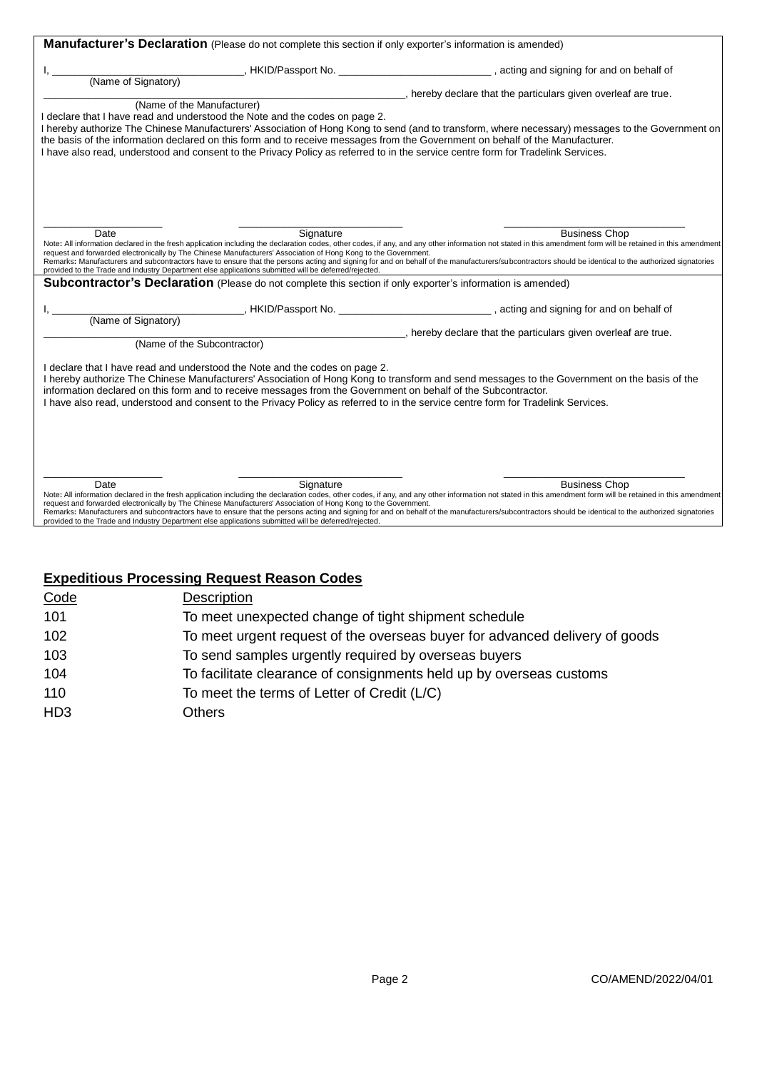| Manufacturer's Declaration (Please do not complete this section if only exporter's information is amended)                                                                                                                                                                                                                                                                                                                                                                      |           |                                                                                                                                                                                                                                                                                                                                                                                                                                              |  |  |  |
|---------------------------------------------------------------------------------------------------------------------------------------------------------------------------------------------------------------------------------------------------------------------------------------------------------------------------------------------------------------------------------------------------------------------------------------------------------------------------------|-----------|----------------------------------------------------------------------------------------------------------------------------------------------------------------------------------------------------------------------------------------------------------------------------------------------------------------------------------------------------------------------------------------------------------------------------------------------|--|--|--|
|                                                                                                                                                                                                                                                                                                                                                                                                                                                                                 |           |                                                                                                                                                                                                                                                                                                                                                                                                                                              |  |  |  |
| (Name of Signatory)                                                                                                                                                                                                                                                                                                                                                                                                                                                             |           |                                                                                                                                                                                                                                                                                                                                                                                                                                              |  |  |  |
|                                                                                                                                                                                                                                                                                                                                                                                                                                                                                 |           | , hereby declare that the particulars given overleaf are true.                                                                                                                                                                                                                                                                                                                                                                               |  |  |  |
| (Name of the Manufacturer)<br>I declare that I have read and understood the Note and the codes on page 2.<br>the basis of the information declared on this form and to receive messages from the Government on behalf of the Manufacturer.<br>I have also read, understood and consent to the Privacy Policy as referred to in the service centre form for Tradelink Services.                                                                                                  |           | I hereby authorize The Chinese Manufacturers' Association of Hong Kong to send (and to transform, where necessary) messages to the Government on                                                                                                                                                                                                                                                                                             |  |  |  |
| Date<br>request and forwarded electronically by The Chinese Manufacturers' Association of Hong Kong to the Government.<br>provided to the Trade and Industry Department else applications submitted will be deferred/rejected.                                                                                                                                                                                                                                                  | Signature | <b>Business Chop</b><br>Note: All information declared in the fresh application including the declaration codes, other codes, if any, and any other information not stated in this amendment form will be retained in this amendment<br>Remarks: Manufacturers and subcontractors have to ensure that the persons acting and signing for and on behalf of the manufacturers/subcontractors should be identical to the authorized signatories |  |  |  |
| <b>Subcontractor's Declaration</b> (Please do not complete this section if only exporter's information is amended)                                                                                                                                                                                                                                                                                                                                                              |           |                                                                                                                                                                                                                                                                                                                                                                                                                                              |  |  |  |
|                                                                                                                                                                                                                                                                                                                                                                                                                                                                                 |           | __, HKID/Passport No. ______________________________, acting and signing for and on behalf of                                                                                                                                                                                                                                                                                                                                                |  |  |  |
| (Name of Signatory)                                                                                                                                                                                                                                                                                                                                                                                                                                                             |           | , hereby declare that the particulars given overleaf are true.                                                                                                                                                                                                                                                                                                                                                                               |  |  |  |
| (Name of the Subcontractor)                                                                                                                                                                                                                                                                                                                                                                                                                                                     |           |                                                                                                                                                                                                                                                                                                                                                                                                                                              |  |  |  |
| I declare that I have read and understood the Note and the codes on page 2.<br>I hereby authorize The Chinese Manufacturers' Association of Hong Kong to transform and send messages to the Government on the basis of the<br>information declared on this form and to receive messages from the Government on behalf of the Subcontractor.<br>I have also read, understood and consent to the Privacy Policy as referred to in the service centre form for Tradelink Services. |           |                                                                                                                                                                                                                                                                                                                                                                                                                                              |  |  |  |
| Date<br>request and forwarded electronically by The Chinese Manufacturers' Association of Hong Kong to the Government.<br>provided to the Trade and Industry Department else applications submitted will be deferred/rejected.                                                                                                                                                                                                                                                  | Signature | <b>Business Chop</b><br>Note: All information declared in the fresh application including the declaration codes, other codes, if any, and any other information not stated in this amendment form will be retained in this amendment<br>Remarks: Manufacturers and subcontractors have to ensure that the persons acting and signing for and on behalf of the manufacturers/subcontractors should be identical to the authorized signatories |  |  |  |

# **Expeditious Processing Request Reason Codes**

| Code            | Description                                                                 |
|-----------------|-----------------------------------------------------------------------------|
| 101             | To meet unexpected change of tight shipment schedule                        |
| 102             | To meet urgent request of the overseas buyer for advanced delivery of goods |
| 103             | To send samples urgently required by overseas buyers                        |
| 104             | To facilitate clearance of consignments held up by overseas customs         |
| 110             | To meet the terms of Letter of Credit (L/C)                                 |
| HD <sub>3</sub> | Others                                                                      |